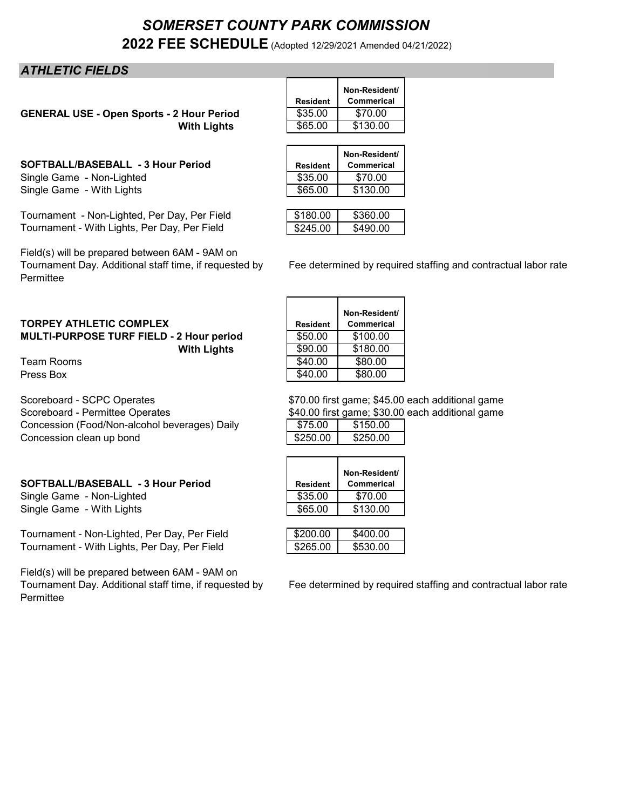# *SOMERSET COUNTY PARK COMMISSION* **2022 FEE SCHEDULE** (Adopted 12/29/2021 Amended 04/21/2022)

# *ATHLETIC FIELDS*

**GENERAL USE - Open Sports - 2 Hour Period With Lights** 

SOFTBALL/BASEBALL - 3 Hour Period Single Game - Non-Lighted Single Game - With Lights

Tournament - Non-Lighted, Per Day, Per Field Tournament - With Lights, Per Day, Per Field

Field(s) will be prepared between 6AM - 9AM on Permittee

| <b>TORPEY ATHLETIC COMPLEX</b>                  | <b>Resident</b> | <b>Commeric</b> |
|-------------------------------------------------|-----------------|-----------------|
| <b>MULTI-PURPOSE TURF FIELD - 2 Hour period</b> | \$50.00         | \$100.00        |
| <b>With Lights</b>                              | \$90.00         | \$180.00        |

Scoreboard - SCPC Operates \$70.00 first game; \$45.00 each additional game<br>\$70.00 first game; \$30.00 each additional game Concession (Food/Non-alcohol beverages) Daily Concession clean up bond

### SOFTBALL/BASEBALL - 3 Hour Period

Single Game - Non-Lighted Single Game - With Lights

Tournament - Non-Lighted, Per Day, Per Field Tournament - With Lights, Per Day, Per Field

Field(s) will be prepared between 6AM - 9AM on Permittee

|                 | Non-Resident/     |
|-----------------|-------------------|
| <b>Resident</b> | <b>Commerical</b> |
| \$35.00         | \$70.00           |
| \$65.00         | \$130.00          |

| <b>Resident</b> | Non-Resident/<br><b>Commerical</b> |
|-----------------|------------------------------------|
| \$35.00         | \$70.00                            |
| \$65.00         | \$130.00                           |
|                 |                                    |

| \$180.00 | 60 NO |
|----------|-------|
| ነ245 በበ  | חח חי |

Fee determined by required staffing and contractual labor rate

|                                          |                 | Non-Resident/     |
|------------------------------------------|-----------------|-------------------|
| <b>TORPEY ATHLETIC COMPLEX</b>           | <b>Resident</b> | <b>Commerical</b> |
| MULTI-PURPOSE TURF FIELD - 2 Hour period | \$50.00         | \$100.00          |
| <b>With Lights</b>                       | \$90.00         | \$180.00          |
| Team Rooms                               | \$40.00         | \$80.00           |
| Press Box                                | \$40.00         | \$80.00           |

\$40.00 first game; \$30.00 each additional game

| \$75 በበ  | \$15000  |
|----------|----------|
| \$250.00 | \$250.00 |

| <b>Resident</b> | Non-Resident/<br><b>Commerical</b> |
|-----------------|------------------------------------|
| \$35.00         | \$70.00                            |
| \$65.00         | \$130.00                           |

| \$200.00 | UOO OO |
|----------|--------|
| ፍ265 በበ  | 530 OO |

Tournament Day. Additional staff time, if requested by Fee determined by required staffing and contractual labor rate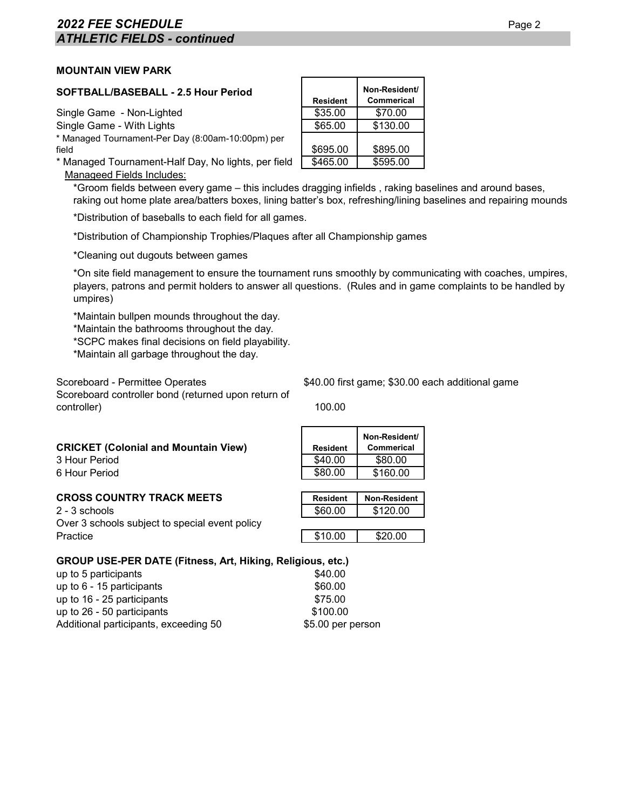# **2022 FEE SCHEDULE** Page 2 *ATHLETIC FIELDS - continued*

## **MOUNTAIN VIEW PARK**

| SOFTBALL/BASEBALL - 2.5 Hour Period                 | <b>Resident</b> | Non-Resident/<br><b>Commerical</b> |
|-----------------------------------------------------|-----------------|------------------------------------|
| Single Game - Non-Lighted                           | \$35.00         | \$70.00                            |
| Single Game - With Lights                           | \$65.00         | \$130.00                           |
| * Managed Tournament-Per Day (8:00am-10:00pm) per   |                 |                                    |
| field                                               | \$695.00        | \$895.00                           |
| * Managed Tournament-Half Day, No lights, per field | \$465.00        | \$595.00                           |

Manageed Fields Includes:

\*Groom fields between every game – this includes dragging infields , raking baselines and around bases, raking out home plate area/batters boxes, lining batter's box, refreshing/lining baselines and repairing mounds

\*Distribution of baseballs to each field for all games.

\*Distribution of Championship Trophies/Plaques after all Championship games

\*Cleaning out dugouts between games

\*On site field management to ensure the tournament runs smoothly by communicating with coaches, umpires, players, patrons and permit holders to answer all questions. (Rules and in game complaints to be handled by umpires)

\*Maintain bullpen mounds throughout the day.

\*Maintain the bathrooms throughout the day.

\*SCPC makes final decisions on field playability.

\*Maintain all garbage throughout the day.

Scoreboard controller bond (returned upon return of controller) 100.00

Scoreboard - Permittee Operates  $$40.00$  first game; \$30.00 each additional game

| <b>CRICKET (Colonial and Mountain View)</b><br>3 Hour Period<br>6 Hour Period | <b>Resident</b><br>\$40.00<br>\$80.00 | Non-Resident/<br>Commerical<br>\$80.00<br>\$160.00 |  |  |  |
|-------------------------------------------------------------------------------|---------------------------------------|----------------------------------------------------|--|--|--|
| <b>CROSS COUNTRY TRACK MEETS</b><br>2 - 3 schools                             | <b>Resident</b><br>\$60.00            | <b>Non-Resident</b><br>\$120.00                    |  |  |  |
| Over 3 schools subject to special event policy<br>Practice                    | \$10.00                               | \$20.00                                            |  |  |  |
| <b>GROUP USE-PER DATE (Fitness, Art, Hiking, Religious, etc.)</b>             |                                       |                                                    |  |  |  |

| up to 5 participants                  |  |  | \$40.00  |                   |
|---------------------------------------|--|--|----------|-------------------|
| up to $6 - 15$ participants           |  |  | \$60.00  |                   |
| up to 16 - 25 participants            |  |  | \$75.00  |                   |
| up to 26 - 50 participants            |  |  | \$100.00 |                   |
| Additional participants, exceeding 50 |  |  |          | \$5.00 per person |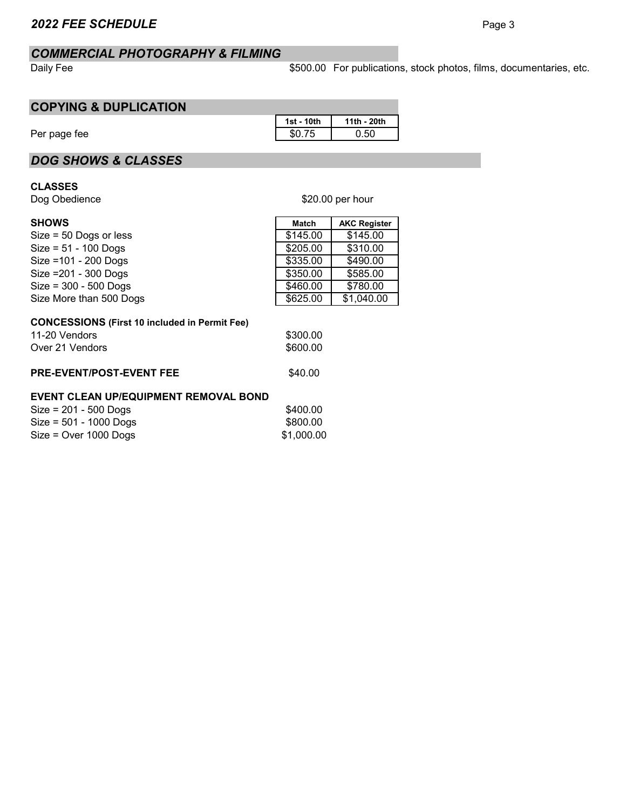# *COMMERCIAL PHOTOGRAPHY & FILMING*

Daily Fee

\$500.00 For publications, stock photos, films, documentaries, etc.

# **COPYING & DUPLICATION**

|              | 1st - 10th | 11th - 20th |  |  |  |
|--------------|------------|-------------|--|--|--|
| Per page fee | \$0.75     | 0.50        |  |  |  |

# *DOG SHOWS & CLASSES*

# **CLASSES**

Dog Obedience

| <b>SHOWS</b>                                                                             | <b>Match</b>         | <b>AKC Register</b> |
|------------------------------------------------------------------------------------------|----------------------|---------------------|
| $Size = 50$ Dogs or less                                                                 | \$145.00             | \$145.00            |
| $Size = 51 - 100$ Dogs                                                                   | \$205.00             | \$310.00            |
| Size = 101 - 200 Dogs                                                                    | \$335.00             | \$490.00            |
| Size = 201 - 300 Dogs                                                                    | \$350.00             | \$585.00            |
| $Size = 300 - 500$ Dogs                                                                  | \$460.00             | \$780.00            |
| Size More than 500 Dogs                                                                  | \$625.00             | \$1,040.00          |
| <b>CONCESSIONS (First 10 included in Permit Fee)</b><br>11-20 Vendors<br>Over 21 Vendors | \$300.00<br>\$600.00 |                     |

**PRE-EVENT/POST-EVENT FEE** \$40.00

## **EVENT CLEAN UP/EQUIPMENT REMOVAL BOND**

| $Size = 201 - 500$ Dogs  | \$400.00   |
|--------------------------|------------|
| $Size = 501 - 1000$ Dogs | \$800.00   |
| $Size = Over 1000$ Dogs  | \$1,000.00 |

## \$20.00 per hour

| ∼ |  |
|---|--|
|---|--|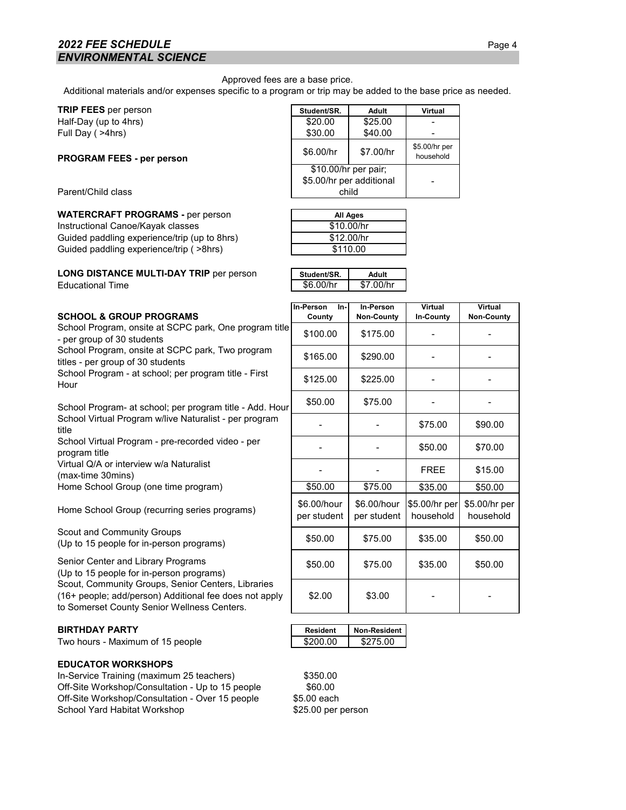# *2022 FEE SCHEDULE* Page 4 *ENVIRONMENTAL SCIENCE*

Approved fees are a base price.

Additional materials and/or expenses specific to a program or trip may be added to the base price as needed.

| <b>TRIP FEES</b> per person | Student/SR. | Adult   | Virtual |
|-----------------------------|-------------|---------|---------|
| Half-Day (up to 4hrs)       | \$20.00     | \$25.00 |         |
| Full Day ( >4hrs)           | \$30.00     | \$40.00 |         |

#### **PROGRAM FEES - per person**

#### **WATERCRAFT PROGRAMS -** per person

Instructional Canoe/Kayak classes Guided paddling experience/trip (up to 8hrs) Guided paddling experience/trip ( >8hrs)

#### **LONG DISTANCE MULTI-DAY TRIP per person Educational Time**

|                                  | oluuenton.               | Auun      | v II tual                  |
|----------------------------------|--------------------------|-----------|----------------------------|
| Half-Day (up to 4hrs)            | \$20.00                  | \$25.00   |                            |
| Full Day (>4hrs)                 | \$30.00                  | \$40.00   |                            |
| <b>PROGRAM FEES - per person</b> | \$6.00/hr                | \$7.00/hr | \$5.00/hr per<br>household |
|                                  | \$10.00/hr per pair;     |           |                            |
|                                  | \$5.00/hr per additional |           |                            |
| Parent/Child class               | child                    |           |                            |
|                                  |                          |           |                            |

| <b>All Ages</b> |  |
|-----------------|--|
| \$10.00/hr      |  |
| \$12.00/hr      |  |
| \$110.00        |  |

| Student/SR. | Adult     |
|-------------|-----------|
| \$6.00/hr   | \$7.00/hr |

| <b>SCHOOL &amp; GROUP PROGRAMS</b>         |  |
|--------------------------------------------|--|
| School Program, onsite at SCPC park. One n |  |

### **BIRTHDAY PARTY**

Two hours - Maximum of 15 people

#### **EDUCATOR WORKSHOPS**

In-Service Training (maximum 25 teachers) \$350.00 Off-Site Workshop/Consultation - Up to 15 people \$60.00 Off-Site Workshop/Consultation - Over 15 people \$5.00 each School Yard Habitat Workshop

| <b>SCHOOL &amp; GROUP PROGRAMS</b>                                                                                                                          | In-Person<br>In-<br>County | <b>In-Person</b><br><b>Non-County</b> | Virtual<br>In-County       | Virtual<br><b>Non-County</b> |
|-------------------------------------------------------------------------------------------------------------------------------------------------------------|----------------------------|---------------------------------------|----------------------------|------------------------------|
| School Program, onsite at SCPC park, One program title<br>- per group of 30 students                                                                        | \$100.00                   | \$175.00                              |                            |                              |
| School Program, onsite at SCPC park, Two program<br>titles - per group of 30 students                                                                       | \$165.00                   | \$290.00                              |                            |                              |
| School Program - at school; per program title - First<br>Hour                                                                                               | \$125.00                   | \$225.00                              |                            |                              |
| School Program- at school; per program title - Add. Hour                                                                                                    | \$50.00                    | \$75.00                               |                            |                              |
| School Virtual Program w/live Naturalist - per program<br>title                                                                                             |                            |                                       | \$75.00                    | \$90.00                      |
| School Virtual Program - pre-recorded video - per<br>program title                                                                                          |                            |                                       | \$50.00                    | \$70.00                      |
| Virtual Q/A or interview w/a Naturalist<br>(max-time 30mins)                                                                                                |                            |                                       | <b>FREE</b>                | \$15.00                      |
| Home School Group (one time program)                                                                                                                        | \$50.00                    | \$75.00                               | \$35.00                    | \$50.00                      |
| Home School Group (recurring series programs)                                                                                                               | \$6.00/hour<br>per student | \$6.00/hour<br>per student            | \$5.00/hr per<br>household | \$5.00/hr per<br>household   |
| <b>Scout and Community Groups</b><br>(Up to 15 people for in-person programs)                                                                               | \$50.00                    | \$75.00                               | \$35.00                    | \$50.00                      |
| Senior Center and Library Programs<br>(Up to 15 people for in-person programs)                                                                              | \$50.00                    | \$75.00                               | \$35.00                    | \$50.00                      |
| Scout, Community Groups, Senior Centers, Libraries<br>(16+ people; add/person) Additional fee does not apply<br>to Somerset County Senior Wellness Centers. | \$2.00                     | \$3.00                                |                            |                              |

| <b>Resident</b> | Non-Resident |
|-----------------|--------------|
| \$200 00        | \$275.00     |

\$25.00 per person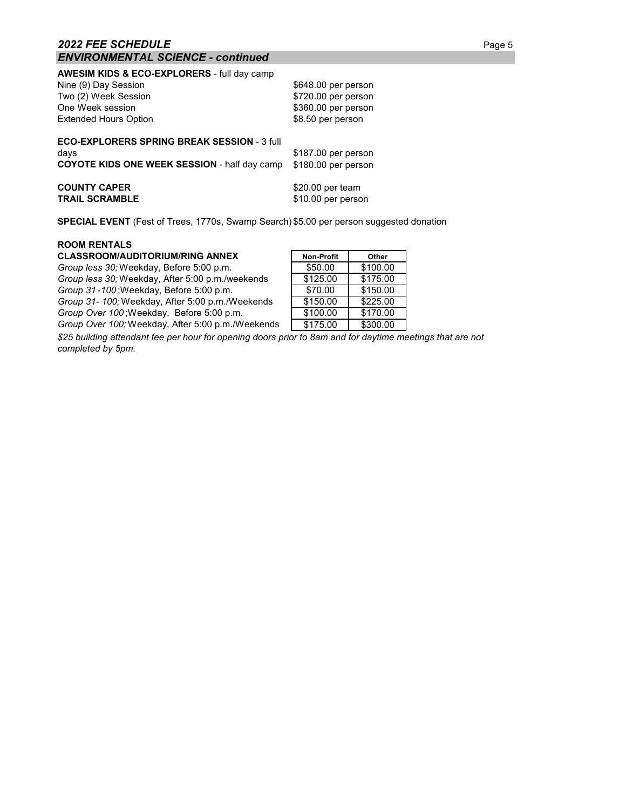#### **AWESIM KIDS & ECO-EXPLORERS** - full day camp

| Nine (9) Day Session                                                                                              | \$648.00 per person                        |
|-------------------------------------------------------------------------------------------------------------------|--------------------------------------------|
| Two (2) Week Session                                                                                              | \$720.00 per person                        |
| One Week session                                                                                                  | \$360.00 per person                        |
| <b>Extended Hours Option</b>                                                                                      | \$8.50 per person                          |
| <b>ECO-EXPLORERS SPRING BREAK SESSION - 3 full</b><br>days<br><b>COYOTE KIDS ONE WEEK SESSION - half day camp</b> | \$187.00 per person<br>\$180.00 per person |
| <b>COUNTY CAPER</b>                                                                                               | \$20.00 per team                           |
| <b>TRAIL SCRAMBLE</b>                                                                                             | \$10.00 per person                         |

**SPECIAL EVENT** (Fest of Trees, 1770s, Swamp Search) \$5.00 per person suggested donation

#### **ROOM RENTALS**

### $CLASSROOM/AUDITORIUM/RING ANNEX$

*Group less 30;* Weekday, Before 5:00 p.m. *Group less 30;* Weekday, After 5:00 p.m./weekends *Group 31-100*; Weekday, Before 5:00 p.m. *Group 31- 100;* Weekday, After 5:00 p.m./Weekends *Group Over 100* ; Weekday, Before 5:00 p.m. *Group Over 100;* Weekday, After 5:00 p.m./Weekends

| <b>Non-Profit</b> | Other    |
|-------------------|----------|
| \$50.00           | \$100.00 |
| \$125.00          | \$175.00 |
| \$70.00           | \$150.00 |
| \$150.00          | \$225.00 |
| \$100.00          | \$170.00 |
| \$175.00          | \$300.00 |

*\$25 building attendant fee per hour for opening doors prior to 8am and for daytime meetings that are not completed by 5pm.*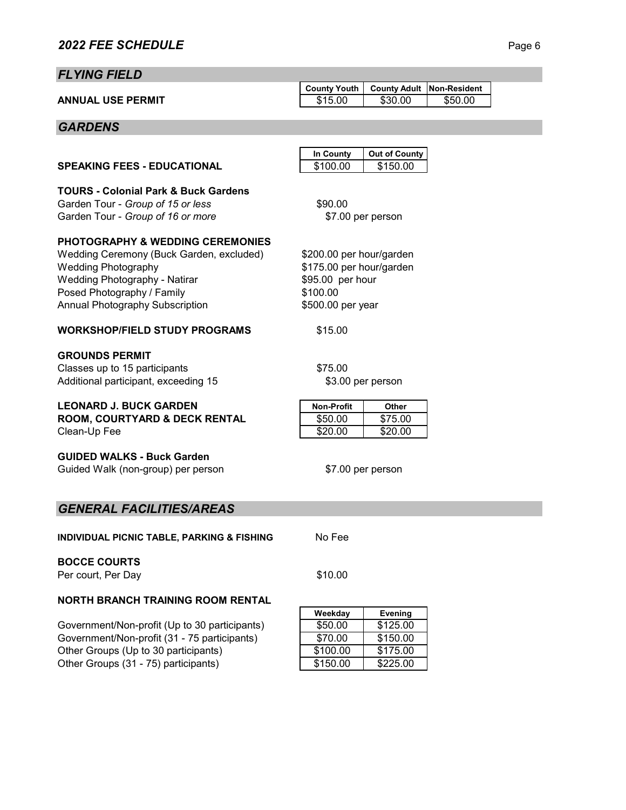# *FLYING FIELD*

|                          | County Youth   County Adult   Non-Resident |         |         |  |
|--------------------------|--------------------------------------------|---------|---------|--|
| <b>ANNUAL USE PERMIT</b> | \$15.00                                    | \$30.00 | \$50.00 |  |

# *GARDENS*

| <b>In County</b> | Out of County |
|------------------|---------------|
| \$100.00         | \$150.00      |

\$7.00 per person

\$200.00 per hour/garden \$175.00 per hour/garden

**TOURS - Colonial Park & Buck Gardens** Garden Tour - *Group of 15 or less* \$90.00 Garden Tour - *Group of 16 or more*

**SPEAKING FEES - EDUCATIONAL** 

## **PHOTOGRAPHY & WEDDING CEREMONIES**

Wedding Ceremony (Buck Garden, excluded) Wedding Photography Wedding Photography - Natirar Posed Photography / Family Annual Photography Subscription  $$5$ 

## **WORKSHOP/FIELD STUDY PROGRAMS** \$15.00

## **GROUNDS PERMIT**

Classes up to 15 participants  $$75.00$ Additional participant, exceeding 15

### **LEONARD J. BUCK GARDEN**

**ROOM, COURTYARD & DECK RENTAL** Clean-Up Fee

### **GUIDED WALKS - Buck Garden**

Guided Walk (non-group) per person

| \$95.00 per hour  |  |
|-------------------|--|
| \$100.00          |  |
| \$500.00 per year |  |

\$3.00 per person

| <b>Non-Profit</b> | Other   |
|-------------------|---------|
| \$50.00           | \$75.00 |
| \$20.00           | \$20.00 |

\$7.00 per person

# *GENERAL FACILITIES/AREAS*

**INDIVIDUAL PICNIC TABLE, PARKING & FISHING** No Fee

## **BOCCE COURTS**

Per court, Per Day \$10.00

# **NORTH BRANCH TRAINING ROOM RENTAL**

Government/Non-profit (Up to 30 participants) Government/Non-profit (31 - 75 participants) Other Groups (Up to 30 participants) Other Groups (31 - 75) participants)

| Weekday  | <b>Evening</b> |
|----------|----------------|
| \$50.00  | \$125.00       |
| \$70.00  | \$150.00       |
| \$100.00 | \$175.00       |
| \$150.00 | \$225.00       |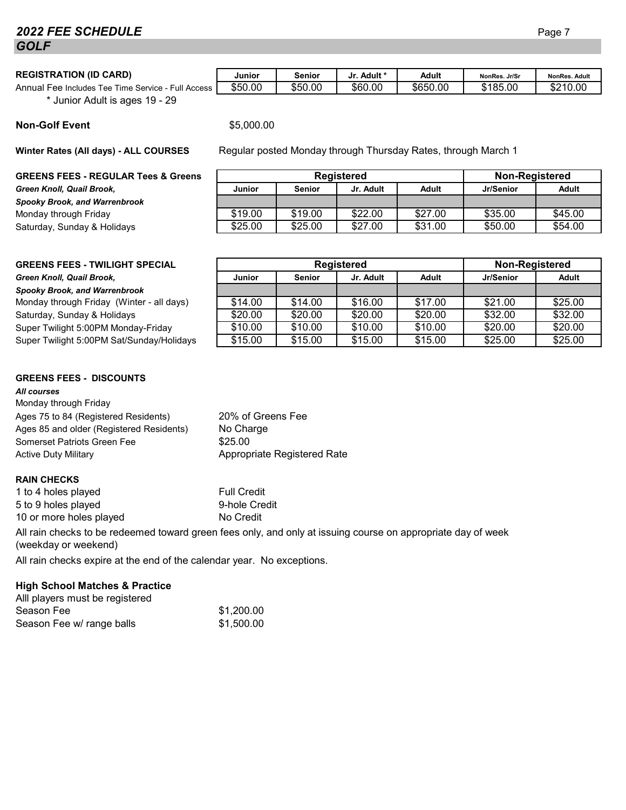# *2022 FEE SCHEDULE* Page 7 *GOLF*

## $REGISTRATION (ID CARD)$

Annual Fee Includes Tee Time Service - Full \* Junior Adult is ages 19 - 29

|  | <b>Non-Golf Event</b> |
|--|-----------------------|
|  |                       |

**Winter Rates (All days) - ALL COURSES**

### **GREENS FEES - REGULAR Tees & Greens**

 $G$ reen Knoll, Quail Brook. *Spooky Brook, and Warrenbrook* Monday through Friday Saturday, Sunday & Holidays

|        | Junior  | Senior  | . Adult *<br>Jr. | Adult    | NonRes. Jr/Sr | <b>NonRes, Adult</b> |
|--------|---------|---------|------------------|----------|---------------|----------------------|
| Access | \$50.00 | \$50.00 | \$60.00          | \$650.00 | \$185.00      | \$210.00<br>⊸ D∠     |

**Non-Golf Event** \$5,000.00

Regular posted Monday through Thursday Rates, through March 1

| <b>Registered</b> |               |           | <b>Non-Registered</b> |           |         |
|-------------------|---------------|-----------|-----------------------|-----------|---------|
| <b>Junior</b>     | <b>Senior</b> | Jr. Adult | Adult                 | Jr/Senior | Adult   |
|                   |               |           |                       |           |         |
| \$19.00           | \$19.00       | \$22.00   | \$27.00               | \$35.00   | \$45.00 |
| \$25.00           | \$25.00       | \$27.00   | \$31.00               | \$50.00   | \$54.00 |

# **GREENS FEES - TWILIGHT SPECIAL**

#### $G$ reen Knoll, Quail Brook,

#### *Spooky Brook, and Warrenbrook*

Monday through Friday (Winter - all days) Saturday, Sunday & Holidays Super Twilight 5:00 PM Monday-Friday Super Twilight 5:00 PM Sat/Sunday/Holidays

## **GREENS FEES - DISCOUNTS**

#### *All courses*

| Monday through Friday                    |             |
|------------------------------------------|-------------|
| Ages 75 to 84 (Registered Residents)     | $20\%$ of G |
| Ages 85 and older (Registered Residents) | No Charg    |
| Somerset Patriots Green Fee              | \$25.00     |
| <b>Active Duty Military</b>              | Appropria   |

### **RAIN CHECKS**

1 to 4 holes played Full Credit 5 to 9 holes played 9-hole Credit 10 or more holes played No Credit

All rain checks to be redeemed toward green fees only, and only at issuing course on appropriate day of week (weekday or weekend)

All rain checks expire at the end of the calendar year. No exceptions.

# **High School Matches & Practice**

| Alll players must be registered |            |
|---------------------------------|------------|
| Season Fee                      | \$1,200.00 |
| Season Fee w/ range balls       | \$1,500.00 |

| Registered    |               |           |              | <b>Non-Registered</b> |         |
|---------------|---------------|-----------|--------------|-----------------------|---------|
| <b>Junior</b> | <b>Senior</b> | Jr. Adult | <b>Adult</b> | Jr/Senior             | Adult   |
|               |               |           |              |                       |         |
| \$14.00       | \$14.00       | \$16.00   | \$17.00      | \$21.00               | \$25.00 |
| \$20.00       | \$20.00       | \$20.00   | \$20.00      | \$32.00               | \$32.00 |
| \$10.00       | \$10.00       | \$10.00   | \$10.00      | \$20.00               | \$20.00 |
| \$15.00       | \$15.00       | \$15.00   | \$15.00      | \$25.00               | \$25.00 |
|               |               |           |              |                       |         |

ate Registered Rate ireens Fee No Charge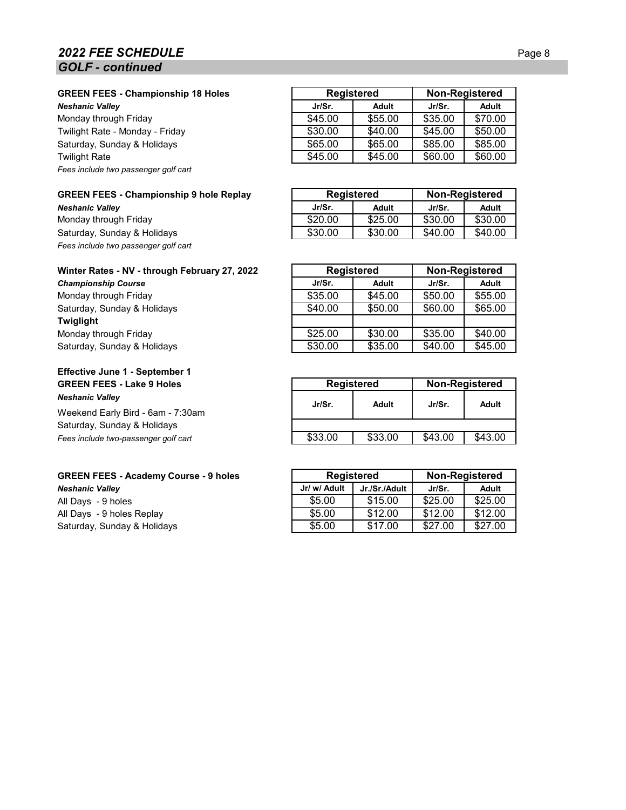# **2022 FEE SCHEDULE** Page 8 *GOLF - continued*

**GREEN FEES - Championship 18 Holes**

**Neshanic Valley** 

Monday through Friday Twilight Rate - Monday - Friday Saturday, Sunday & Holidays **Twilight Rate** *Fees include two passenger golf cart*

|  | <b>GREEN FEES - Championship 9 hole Replay</b> |  |
|--|------------------------------------------------|--|
|--|------------------------------------------------|--|

**Neshanic Valley** Monday through Friday Saturday, Sunday & Holidays *Fees include two passenger golf cart*

|  |  | Winter Rates - NV - through February 27, 2022 |  |
|--|--|-----------------------------------------------|--|
|  |  |                                               |  |

| <b>Championship Course</b>  |  |  |
|-----------------------------|--|--|
| Monday through Friday       |  |  |
| Saturday, Sunday & Holidays |  |  |
| Twiglight                   |  |  |
| Monday through Friday       |  |  |
| Saturday, Sunday & Holidays |  |  |

## **Effective June 1 - September 1 GREEN FEES - Lake 9 Holes** *Neshanic Valley*

Weekend Early Bird - 6am - 7:30am Saturday, Sunday & Holidays Fees include two-passenger golf cart

# **GREEN FEES - Academy Course - 9 holes**

 $N$ eshanic Valley All Days - 9 holes All Days - 9 holes Replay Saturday, Sunday & Holidays

| <b>Registered</b> | Non-Registered |         |  |  |  |
|-------------------|----------------|---------|--|--|--|
| Adult             | Jr/Sr.         | Adult   |  |  |  |
| \$55.00           | \$35.00        | \$70.00 |  |  |  |
| \$40.00           | \$45.00        | \$50.00 |  |  |  |
| \$65.00           | \$85.00        | \$85.00 |  |  |  |
| \$45.00           | \$60.00        | \$60.00 |  |  |  |
|                   |                |         |  |  |  |

|         | <b>Registered</b> | Non-Registered |         |  |
|---------|-------------------|----------------|---------|--|
| Jr/Sr.  | Adult             | Jr/Sr.         | Adult   |  |
| \$20.00 | \$25.00           | \$30.00        | \$30.00 |  |
| \$30.00 | \$30.00           | \$40.00        | \$40.00 |  |

| Winter Rates - NV - through February 27, 2022 | <b>Registered</b> |         | <b>Non-Registered</b> |         |
|-----------------------------------------------|-------------------|---------|-----------------------|---------|
| <b>Championship Course</b>                    | Jr/Sr.            | Adult   | Jr/Sr.                | Adult   |
| Monday through Friday                         | \$35.00           | \$45.00 | \$50.00               | \$55.00 |
| Saturday, Sunday & Holidays                   | \$40.00           | \$50.00 | \$60.00               | \$65.00 |
| Twiglight                                     |                   |         |                       |         |
| Monday through Friday                         | \$25.00           | \$30.00 | \$35.00               | \$40.00 |
| Saturday, Sunday & Holidays                   | \$30.00           | \$35.00 | \$40.00               | \$45.00 |

| <b>Registered</b> |         | <b>Non-Registered</b> |         |  |
|-------------------|---------|-----------------------|---------|--|
| Jr/Sr.            | Adult   | $Jr/Sr$ .             | Adult   |  |
|                   |         |                       |         |  |
| \$33.00           | \$33.00 | \$43.00               | \$43.00 |  |
|                   |         |                       |         |  |

|              | <b>Registered</b> | Non-Registered |         |  |
|--------------|-------------------|----------------|---------|--|
| Jr/ w/ Adult | Jr./Sr./Adult     | Jr/Sr.         | Adult   |  |
| \$5.00       | \$15.00           | \$25.00        | \$25.00 |  |
| \$5.00       | \$12.00           | \$12.00        | \$12.00 |  |
| \$5.00       | \$17.00           | \$27.00        | \$27.00 |  |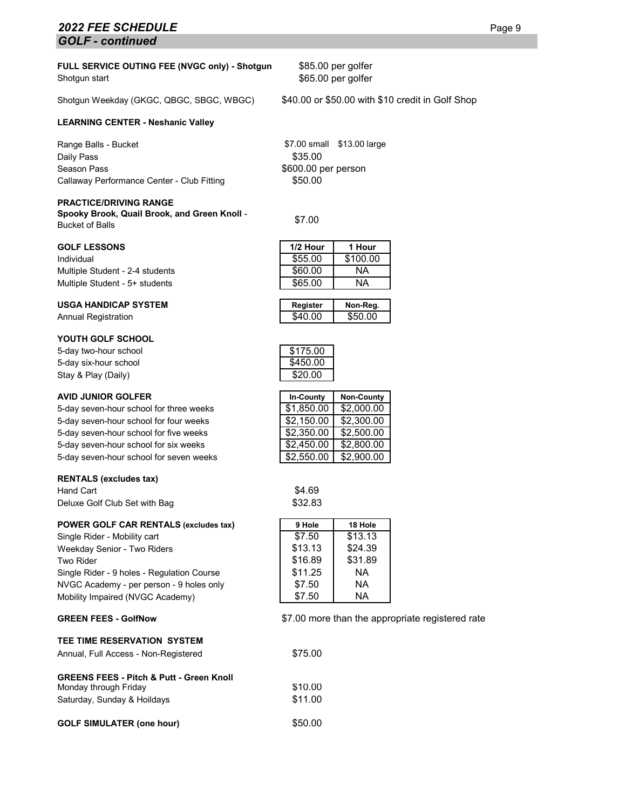## **2022 FEE SCHEDULE** Page 9 *GOLF - continued*

#### **FULL SERVICE OUTING FEE (NVGC only) - Shotgun** Shotgun start

Shotgun Weekday (GKGC, QBGC, SBGC, WBGC) \$40.00 or \$50.00 with \$10 credit in Golf Shop

#### **LEARNING CENTER - Neshanic Valley**

Range Balls - Bucket **\$7.00 small** \$13.00 large Daily Pass \$35.00 Season Pass \$600.00 per person Callaway Performance Center - Club Fitting  $$50.00$ 

#### **PRACTICE/DRIVING RANGE**

**Spooky Brook, Quail Brook, and Green Knoll** - Spooky Brook, Quali Brook, and Green Knon - \$7.00<br>Bucket of Balls

#### **GOLF LESSONS**

Individual \$55.00 \$100.00 Multiple Student - 2-4 students Multiple Student - 5+ students

#### **USGA HANDICAP SYSTEM Register Non-Reg.**

Annual Registration

#### **YOUTH GOLF SCHOOL**

5-day two-hour school  $$175.00$ <br>5-day six-hour school  $$450.00$ 5-day six-hour school Stay & Play (Daily)  $$20.00$ 

#### **AVID JUNIOR GOLFER In-County Non-County**

5-day seven-hour school for three weeks 5-day seven-hour school for four weeks 5-day seven-hour school for five weeks 5-day seven-hour school for six weeks 5-day seven-hour school for seven weeks

#### **RENTALS (excludes tax)**

Hand Cart **\$4.69** Deluxe Golf Club Set with Bag \$32.83

#### **POWER GOLF CAR RENTALS (excludes tax)**

Single Rider - Mobility cart Weekday Senior - Two Riders Two Rider Single Rider - 9 holes - Regulation Course NVGC Academy - per person - 9 holes only Mobility Impaired (NVGC Academy)

#### **GREEN FEES - GolfNow**

#### **TEE TIME RESERVATION SYSTEM**

| Annual, Full Access - Non-Registered                                                                        | \$75.00            |
|-------------------------------------------------------------------------------------------------------------|--------------------|
| <b>GREENS FEES - Pitch &amp; Putt - Green Knoll</b><br>Monday through Friday<br>Saturday, Sunday & Hoildays | \$10.00<br>\$11.00 |
| <b>GOLF SIMULATER (one hour)</b>                                                                            | \$50.00            |

\$85.00 per golfer \$65.00 per golfer

| 1/2 Hour | 1 Hour   |
|----------|----------|
| \$55.00  | \$100.00 |
| \$60.00  | NA       |
| \$65.00  | ΝA       |
|          |          |

| Register | Non-Reg. |
|----------|----------|
| \$40.00  | \$50.00  |



| In-County  | <b>Non-County</b> |
|------------|-------------------|
| \$1,850.00 | \$2,000.00        |
| \$2,150.00 | \$2,300.00        |
| \$2,350.00 | \$2,500.00        |
| \$2,450.00 | \$2,800.00        |
| \$2,550.00 | \$2,900.00        |

| 18 Hole |
|---------|
| \$13.13 |
| \$24.39 |
| \$31.89 |
| NА      |
| NА      |
| NА      |
|         |

\$7.00 more than the appropriate registered rate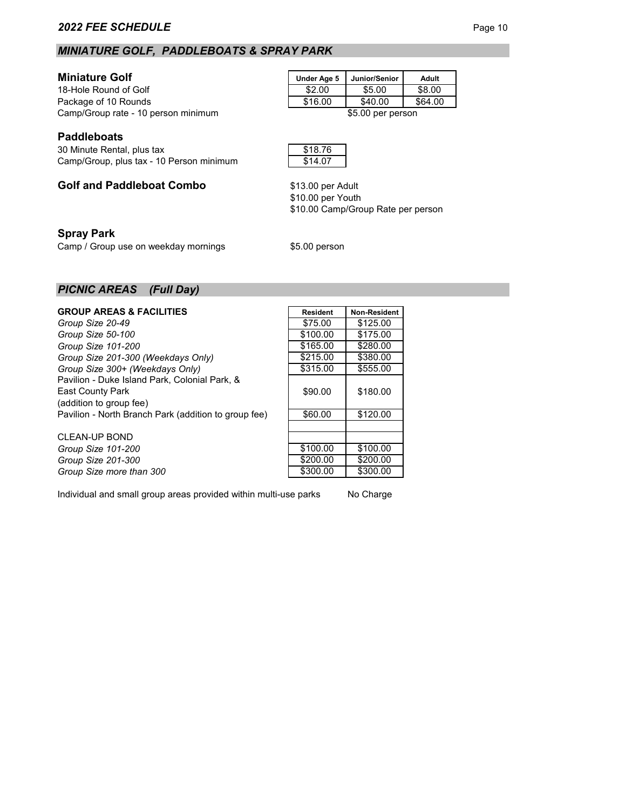# *MINIATURE GOLF, PADDLEBOATS & SPRAY PARK*

**Miniature Golf**<br>
18-Hole Round of Golf<br>
18-Hole Round of Golf<br>
18.00  $\frac{200}{35.00}$  \$8.00 18-Hole Round of Golf 18-Hole Round of Golf 18.00 \$2.00 \$5.00 \$8.00<br>
Package of 10 Rounds 18.00 \$16.00 \$40.00 \$64.00 Package of 10 Rounds Camp/Group rate - 10 person minimum **100 cm and 100 cm and 100 cm** \$5.00 per person

# **Paddleboats**

30 Minute Rental, plus tax \$18.76 Camp/Group, plus tax - 10 Person minimum **\$14.07** 

# **Golf and Paddleboat Combo**

# **Spray Park**

Camp / Group use on weekday mornings  $$5.00$  person

\$10.00 per Youth \$13.00 per Adult

\$10.00 Camp/Group Rate per person

# *PICNIC AREAS (Full Day)*

| <b>GROUP AREAS &amp; FACILITIES</b>                  | <b>Resident</b> | <b>Non-Resident</b> |
|------------------------------------------------------|-----------------|---------------------|
| Group Size 20-49                                     | \$75.00         | \$125.00            |
| Group Size 50-100                                    | \$100.00        | \$175.00            |
| Group Size 101-200                                   | \$165.00        | \$280.00            |
| Group Size 201-300 (Weekdays Only)                   | \$215.00        | \$380.00            |
| Group Size 300+ (Weekdays Only)                      | \$315.00        | \$555.00            |
| Pavilion - Duke Island Park, Colonial Park, &        |                 |                     |
| <b>East County Park</b>                              | \$90.00         | \$180.00            |
| (addition to group fee)                              |                 |                     |
| Pavilion - North Branch Park (addition to group fee) | \$60.00         | \$120.00            |
|                                                      |                 |                     |

CLEAN-UP BOND *Group Size 101-200 Group Size 201-300* **Group Size more than 300.** 

| \$215.00 | \$380.00 |
|----------|----------|
| \$315.00 | \$555.00 |
| \$90.00  | \$180.00 |
| \$60.00  | \$120.00 |
|          |          |
|          |          |
| \$100.00 | \$100.00 |
| \$200.00 | \$200.00 |
| \$300.00 | \$300.00 |

Individual and small group areas provided within multi-use parks No Charge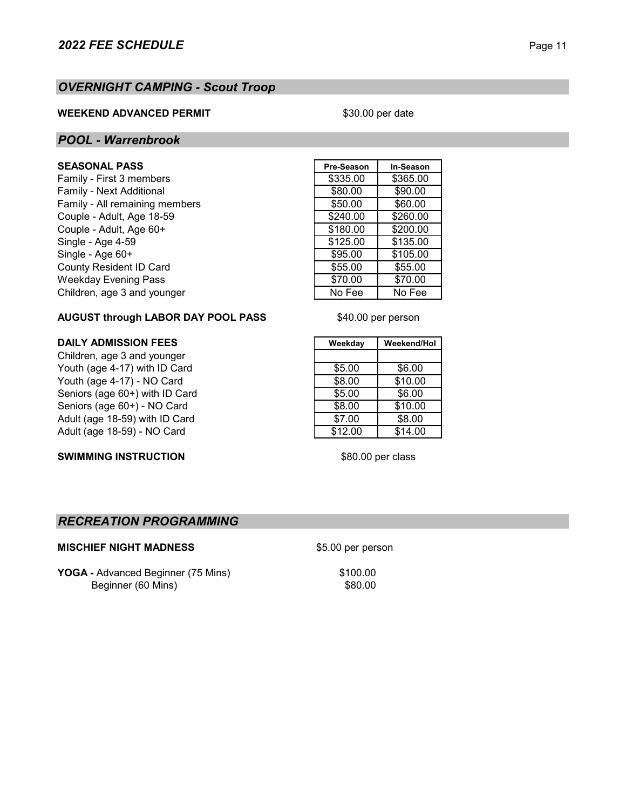# *OVERNIGHT CAMPING - Scout Troop*

## **WEEKEND ADVANCED PERMIT**

\$30.00 per date

# *POOL - Warrenbrook*

# $SEASONAL$  **PASS**

Family - First 3 members Family - Next Additional Family - All remaining members Couple - Adult, Age 18-59. Couple - Adult, Age 60+ Single - Age 4-59 Single -  $Age 60+$ County Resident ID Card Weekday Evening Pass Children, age 3 and younger

| Pre-Season | In-Season |
|------------|-----------|
| \$335.00   | \$365.00  |
| \$80.00    | \$90.00   |
| \$50.00    | \$60.00   |
| \$240.00   | \$260.00  |
| \$180.00   | \$200.00  |
| \$125.00   | \$135.00  |
| \$95.00    | \$105.00  |
| \$55.00    | \$55.00   |
| \$70.00    | \$70.00   |
| No Fee     | No Fee    |
|            |           |

# **AUGUST through LABOR DAY POOL PASS**

Children, age 3 and younger Youth (age 4-17) with ID Card \$5.00 \$6.00 Youth (age 4-17) - NO Card **\$8.00 \$8.00** \$10.00 Seniors (age 60+) with ID Card \$5.00 \$6.00 Seniors (age 60+) - NO Card **\$8.00 \$8.00** \$10.00 Adult (age 18-59) with ID Card<br>
Adult (age 18-59) - NO Card<br>  $\begin{array}{|c|c|c|c|c|c|}\n\hline\n& $7.00 & $8.00\n\end{array}$ Adult (age 18-59) - NO Card **\$12.00** \$14.00

**SWIMMING INSTRUCTION** 

**DAILY ADMISSION FEES Weekday Weekend/Hol**

\$40.00 per person

\$80.00 per class

# *RECREATION PROGRAMMING*

## **MISCHIEF NIGHT MADNESS** \$5.00 per person

**YOGA** - Advanced Beginner (75 Mins) \$100.00 Beginner (60 Mins) \$80.00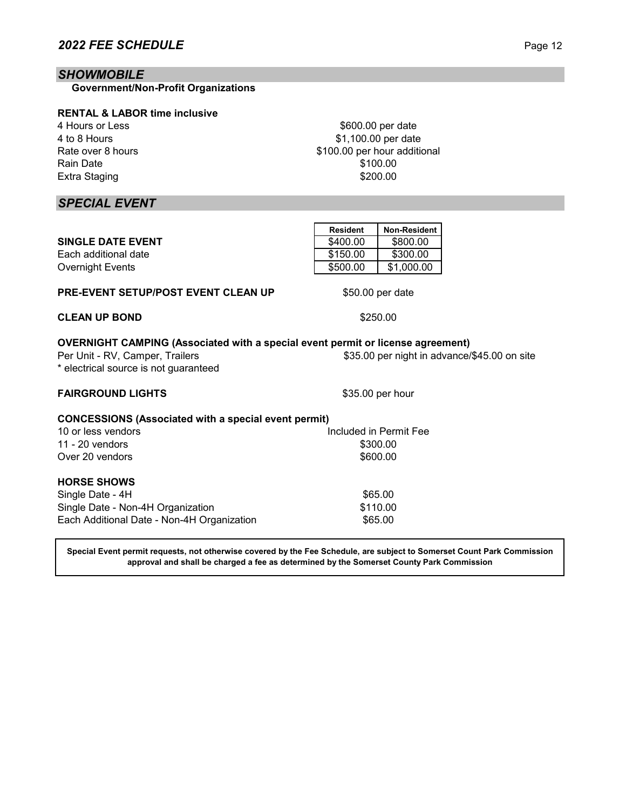# *SHOWMOBILE*

 **Government/Non-Profit Organizations**

## **RENTAL & LABOR time inclusive**

4 Hours or Less 4 to 8 Hours Rate over 8 hours Rain Date Extra Staging

*SPECIAL EVENT*

|                                                                                                                                                                    | <b>Resident</b> | Non-Resident           |                                              |
|--------------------------------------------------------------------------------------------------------------------------------------------------------------------|-----------------|------------------------|----------------------------------------------|
| <b>SINGLE DATE EVENT</b>                                                                                                                                           | \$400.00        | \$800.00               |                                              |
| Each additional date                                                                                                                                               | \$150.00        | \$300.00               |                                              |
| <b>Overnight Events</b>                                                                                                                                            | \$500.00        | \$1,000.00             |                                              |
| <b>PRE-EVENT SETUP/POST EVENT CLEAN UP</b>                                                                                                                         |                 | \$50.00 per date       |                                              |
| <b>CLEAN UP BOND</b>                                                                                                                                               |                 | \$250.00               |                                              |
| <b>OVERNIGHT CAMPING (Associated with a special event permit or license agreement)</b><br>Per Unit - RV, Camper, Trailers<br>* electrical source is not guaranteed |                 |                        | \$35.00 per night in advance/\$45.00 on site |
| <b>FAIRGROUND LIGHTS</b>                                                                                                                                           |                 | \$35.00 per hour       |                                              |
| <b>CONCESSIONS (Associated with a special event permit)</b>                                                                                                        |                 |                        |                                              |
| 10 or less vendors                                                                                                                                                 |                 | Included in Permit Fee |                                              |
| 11 - $20$ vendors                                                                                                                                                  |                 | \$300.00               |                                              |
| Over 20 vendors                                                                                                                                                    |                 | \$600.00               |                                              |
| <b>HORSE SHOWS</b>                                                                                                                                                 |                 |                        |                                              |
| Single Date - 4H                                                                                                                                                   |                 | \$65.00                |                                              |
| Single Date - Non-4H Organization                                                                                                                                  |                 | \$110.00               |                                              |
| Each Additional Date - Non-4H Organization                                                                                                                         |                 | \$65.00                |                                              |

**Special Event permit requests, not otherwise covered by the Fee Schedule, are subject to Somerset Count Park Commission approval and shall be charged a fee as determined by the Somerset County Park Commission**

\$100.00 \$200.00

\$600.00 per date \$1,100.00 per date

\$100.00 per hour additional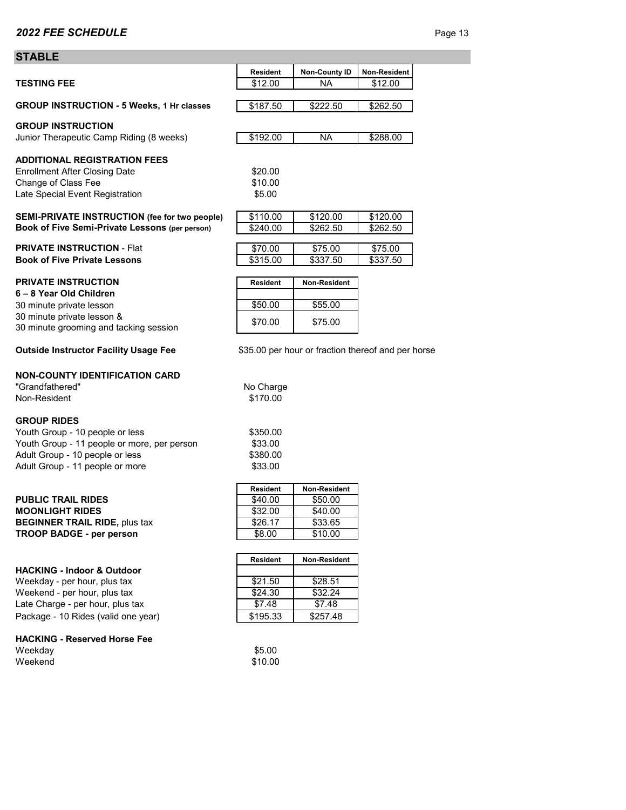# **STABLE**

| JIADLE                                                                |                 |                                                    |              |
|-----------------------------------------------------------------------|-----------------|----------------------------------------------------|--------------|
|                                                                       | <b>Resident</b> | <b>Non-County ID</b>                               | Non-Resident |
| <b>TESTING FEE</b>                                                    | \$12.00         | NА                                                 | \$12.00      |
|                                                                       |                 |                                                    |              |
| <b>GROUP INSTRUCTION - 5 Weeks, 1 Hr classes</b>                      | \$187.50        | \$222.50                                           | \$262.50     |
| <b>GROUP INSTRUCTION</b>                                              |                 |                                                    |              |
| Junior Therapeutic Camp Riding (8 weeks)                              | \$192.00        | NA                                                 | \$288.00     |
|                                                                       |                 |                                                    |              |
| <b>ADDITIONAL REGISTRATION FEES</b>                                   |                 |                                                    |              |
| <b>Enrollment After Closing Date</b>                                  | \$20.00         |                                                    |              |
| Change of Class Fee                                                   | \$10.00         |                                                    |              |
| Late Special Event Registration                                       | \$5.00          |                                                    |              |
| SEMI-PRIVATE INSTRUCTION (fee for two people)                         | \$110.00        | \$120.00                                           | \$120.00     |
| Book of Five Semi-Private Lessons (per person)                        | \$240.00        | \$262.50                                           | \$262.50     |
|                                                                       |                 |                                                    |              |
| <b>PRIVATE INSTRUCTION - Flat</b>                                     | \$70.00         | \$75.00                                            | \$75.00      |
| <b>Book of Five Private Lessons</b>                                   | \$315.00        | $\overline{$}337.50$                               | \$337.50     |
| <b>PRIVATE INSTRUCTION</b>                                            | <b>Resident</b> | Non-Resident                                       |              |
| 6-8 Year Old Children                                                 |                 |                                                    |              |
| 30 minute private lesson                                              | \$50.00         | \$55.00                                            |              |
| 30 minute private lesson &                                            | \$70.00         | \$75.00                                            |              |
| 30 minute grooming and tacking session                                |                 |                                                    |              |
| <b>Outside Instructor Facility Usage Fee</b>                          |                 |                                                    |              |
|                                                                       |                 | \$35.00 per hour or fraction thereof and per horse |              |
| <b>NON-COUNTY IDENTIFICATION CARD</b>                                 |                 |                                                    |              |
| "Grandfathered"                                                       | No Charge       |                                                    |              |
| Non-Resident                                                          | \$170.00        |                                                    |              |
|                                                                       |                 |                                                    |              |
| <b>GROUP RIDES</b>                                                    |                 |                                                    |              |
| Youth Group - 10 people or less                                       | \$350.00        |                                                    |              |
| Youth Group - 11 people or more, per person                           | \$33.00         |                                                    |              |
| Adult Group - 10 people or less                                       | \$380.00        |                                                    |              |
| Adult Group - 11 people or more                                       | \$33.00         |                                                    |              |
|                                                                       | <b>Resident</b> | Non-Resident                                       |              |
| <b>PUBLIC TRAIL RIDES</b>                                             | \$40.00         | \$50.00                                            |              |
| <b>MOONLIGHT RIDES</b>                                                | \$32.00         | \$40.00                                            |              |
| <b>BEGINNER TRAIL RIDE, plus tax</b>                                  | \$26.17         | \$33.65                                            |              |
| <b>TROOP BADGE - per person</b>                                       | \$8.00          | \$10.00                                            |              |
|                                                                       |                 |                                                    |              |
|                                                                       | <b>Resident</b> | Non-Resident                                       |              |
| <b>HACKING - Indoor &amp; Outdoor</b><br>Weekday - per hour, plus tax | \$21.50         | \$28.51                                            |              |
| Weekend - per hour, plus tax                                          | \$24.30         | \$32.24                                            |              |
| Late Charge - per hour, plus tax                                      | \$7.48          | \$7.48                                             |              |
| Package - 10 Rides (valid one year)                                   | \$195.33        | \$257.48                                           |              |
|                                                                       |                 |                                                    |              |
| <b>HACKING - Reserved Horse Fee</b>                                   |                 |                                                    |              |
| Weekday                                                               | \$5.00          |                                                    |              |
| Weekend                                                               | \$10.00         |                                                    |              |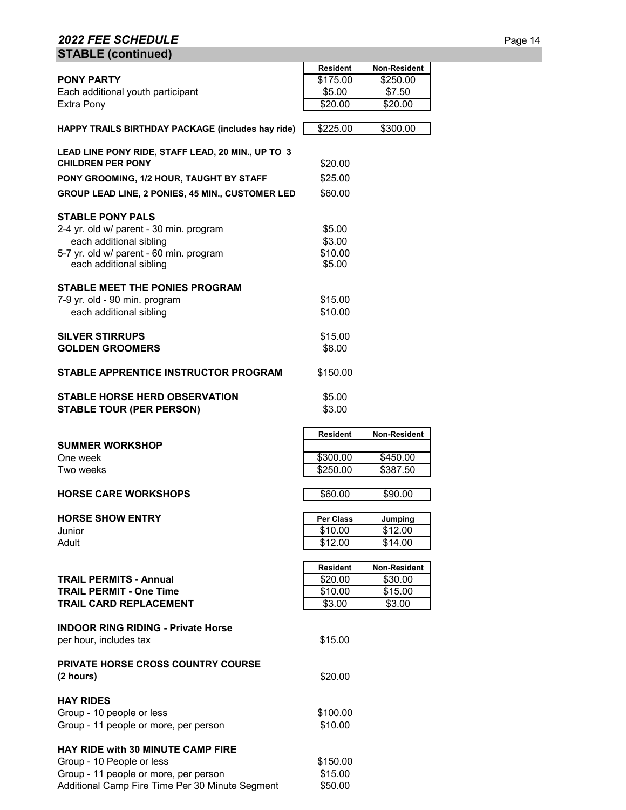# **2022 FEE SCHEDULE** Page 14 **STABLE (continued)**

|                                                         | <b>Resident</b> | Non-Resident        |
|---------------------------------------------------------|-----------------|---------------------|
| <b>PONY PARTY</b>                                       | \$175.00        | \$250.00            |
| Each additional youth participant                       | \$5.00          | \$7.50              |
| Extra Pony                                              | \$20.00         | \$20.00             |
|                                                         |                 |                     |
| HAPPY TRAILS BIRTHDAY PACKAGE (includes hay ride)       | \$225.00        | \$300.00            |
|                                                         |                 |                     |
| LEAD LINE PONY RIDE, STAFF LEAD, 20 MIN., UP TO 3       |                 |                     |
| <b>CHILDREN PER PONY</b>                                |                 |                     |
|                                                         | \$20.00         |                     |
| PONY GROOMING, 1/2 HOUR, TAUGHT BY STAFF                | \$25.00         |                     |
| <b>GROUP LEAD LINE, 2 PONIES, 45 MIN., CUSTOMER LED</b> | \$60.00         |                     |
|                                                         |                 |                     |
| <b>STABLE PONY PALS</b>                                 |                 |                     |
| 2-4 yr. old w/ parent - 30 min. program                 | \$5.00          |                     |
|                                                         | \$3.00          |                     |
| each additional sibling                                 |                 |                     |
| 5-7 yr. old w/ parent - 60 min. program                 | \$10.00         |                     |
| each additional sibling                                 | \$5.00          |                     |
|                                                         |                 |                     |
| <b>STABLE MEET THE PONIES PROGRAM</b>                   |                 |                     |
| 7-9 yr. old - 90 min. program                           | \$15.00         |                     |
| each additional sibling                                 | \$10.00         |                     |
|                                                         |                 |                     |
| <b>SILVER STIRRUPS</b>                                  | \$15.00         |                     |
| <b>GOLDEN GROOMERS</b>                                  | \$8.00          |                     |
|                                                         |                 |                     |
|                                                         |                 |                     |
| STABLE APPRENTICE INSTRUCTOR PROGRAM                    | \$150.00        |                     |
|                                                         |                 |                     |
| <b>STABLE HORSE HERD OBSERVATION</b>                    | \$5.00          |                     |
| <b>STABLE TOUR (PER PERSON)</b>                         | \$3.00          |                     |
|                                                         |                 |                     |
|                                                         | <b>Resident</b> | <b>Non-Resident</b> |
| <b>SUMMER WORKSHOP</b>                                  |                 |                     |
| One week                                                | \$300.00        | \$450.00            |
| Two weeks                                               | \$250.00        | \$387.50            |
|                                                         |                 |                     |
|                                                         |                 |                     |
| <b>HORSE CARE WORKSHOPS</b>                             | \$60.00         | \$90.00             |
|                                                         |                 |                     |
| <b>HORSE SHOW ENTRY</b>                                 | Per Class       | Jumping             |
| Junior                                                  | \$10.00         | \$12.00             |
| Adult                                                   | \$12.00         | \$14.00             |
|                                                         |                 |                     |
|                                                         | <b>Resident</b> | Non-Resident        |
| <b>TRAIL PERMITS - Annual</b>                           | \$20.00         | \$30.00             |
| <b>TRAIL PERMIT - One Time</b>                          | \$10.00         | \$15.00             |
|                                                         |                 |                     |
| <b>TRAIL CARD REPLACEMENT</b>                           | \$3.00          | \$3.00              |
|                                                         |                 |                     |
| <b>INDOOR RING RIDING - Private Horse</b>               |                 |                     |
| per hour, includes tax                                  | \$15.00         |                     |
|                                                         |                 |                     |
| <b>PRIVATE HORSE CROSS COUNTRY COURSE</b>               |                 |                     |
| (2 hours)                                               | \$20.00         |                     |
|                                                         |                 |                     |
| <b>HAY RIDES</b>                                        |                 |                     |
|                                                         |                 |                     |
| Group - 10 people or less                               | \$100.00        |                     |
| Group - 11 people or more, per person                   | \$10.00         |                     |
|                                                         |                 |                     |
| <b>HAY RIDE with 30 MINUTE CAMP FIRE</b>                |                 |                     |
| Group - 10 People or less                               | \$150.00        |                     |
| Group - 11 people or more, per person                   | \$15.00         |                     |
| Additional Camp Fire Time Per 30 Minute Segment         | \$50.00         |                     |
|                                                         |                 |                     |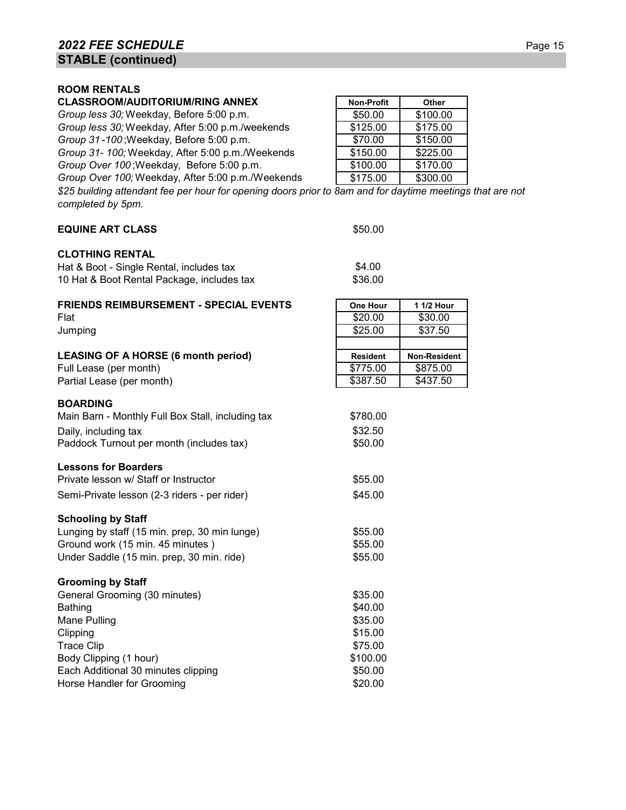## **ROOM RENTALS**

# **CLASSROOM/AUDITORIUM/RING ANNEX**

*Group less 30;* Weekday, Before 5:00 p.m. *Group less 30;* Weekday, After 5:00 p.m./weekends *Group 31-100*; Weekday, Before 5:00 p.m. *Group 31- 100;* Weekday, After 5:00 p.m./Weekends

*Group Over 100* ; Weekday, Before 5:00 p.m.

*Group Over 100;* Weekday, After 5:00 p.m./Weekends

*\$25 building attendant fee per hour for opening doors prior to 8am and for daytime meetings that are not completed by 5pm.*

| $v \sim v \sim v \sim v$                          |                 |              |
|---------------------------------------------------|-----------------|--------------|
| <b>EQUINE ART CLASS</b>                           | \$50.00         |              |
| <b>CLOTHING RENTAL</b>                            |                 |              |
| Hat & Boot - Single Rental, includes tax          | \$4.00          |              |
| 10 Hat & Boot Rental Package, includes tax        | \$36.00         |              |
| <b>FRIENDS REIMBURSEMENT - SPECIAL EVENTS</b>     | <b>One Hour</b> | 1 1/2 Hour   |
| Flat                                              | \$20.00         | \$30.00      |
| Jumping                                           | \$25.00         | \$37.50      |
| <b>LEASING OF A HORSE (6 month period)</b>        | <b>Resident</b> | Non-Resident |
| Full Lease (per month)                            | \$775.00        | \$875.00     |
| Partial Lease (per month)                         | \$387.50        | \$437.50     |
| <b>BOARDING</b>                                   |                 |              |
| Main Barn - Monthly Full Box Stall, including tax | \$780.00        |              |
| Daily, including tax                              | \$32.50         |              |
| Paddock Turnout per month (includes tax)          | \$50.00         |              |
| <b>Lessons for Boarders</b>                       |                 |              |
| Private lesson w/ Staff or Instructor             | \$55.00         |              |
| Semi-Private lesson (2-3 riders - per rider)      | \$45.00         |              |
| <b>Schooling by Staff</b>                         |                 |              |
| Lunging by staff (15 min. prep, 30 min lunge)     | \$55.00         |              |
| Ground work (15 min. 45 minutes)                  | \$55.00         |              |
| Under Saddle (15 min. prep, 30 min. ride)         | \$55.00         |              |
| <b>Grooming by Staff</b>                          |                 |              |
| General Grooming (30 minutes)                     | \$35.00         |              |
| <b>Bathing</b>                                    | \$40.00         |              |
| Mane Pulling                                      | \$35.00         |              |
| Clipping                                          | \$15.00         |              |
| <b>Trace Clip</b>                                 | \$75.00         |              |
| Body Clipping (1 hour)                            | \$100.00        |              |
| Each Additional 30 minutes clipping               | \$50.00         |              |
| Horse Handler for Grooming                        | \$20.00         |              |

| <b>Non-Profit</b> | Other    |
|-------------------|----------|
| \$50.00           | \$100.00 |
| \$125.00          | \$175.00 |
| \$70.00           | \$150.00 |
| \$150.00          | \$225.00 |
| \$100.00          | \$170.00 |
| \$175.00          | \$300.00 |
|                   |          |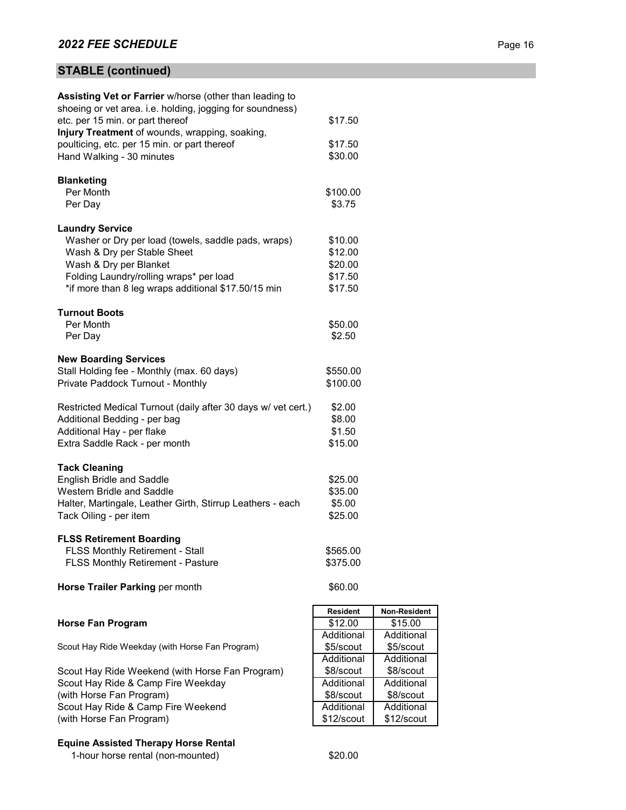# **STABLE (continued)**

| <b>Assisting Vet or Farrier</b> w/horse (other than leading to<br>shoeing or vet area. i.e. holding, jogging for soundness) |                     |              |
|-----------------------------------------------------------------------------------------------------------------------------|---------------------|--------------|
| etc. per 15 min. or part thereof                                                                                            | \$17.50             |              |
| Injury Treatment of wounds, wrapping, soaking,                                                                              |                     |              |
| poulticing, etc. per 15 min. or part thereof                                                                                | \$17.50             |              |
| Hand Walking - 30 minutes                                                                                                   | \$30.00             |              |
| <b>Blanketing</b>                                                                                                           |                     |              |
| Per Month                                                                                                                   | \$100.00            |              |
| Per Day                                                                                                                     | \$3.75              |              |
| <b>Laundry Service</b>                                                                                                      |                     |              |
| Washer or Dry per load (towels, saddle pads, wraps)                                                                         | \$10.00             |              |
| Wash & Dry per Stable Sheet                                                                                                 | \$12.00             |              |
| Wash & Dry per Blanket                                                                                                      | \$20.00             |              |
| Folding Laundry/rolling wraps* per load                                                                                     | \$17.50             |              |
| *if more than 8 leg wraps additional \$17.50/15 min                                                                         | \$17.50             |              |
| <b>Turnout Boots</b>                                                                                                        |                     |              |
| Per Month                                                                                                                   | \$50.00             |              |
| Per Day                                                                                                                     | \$2.50              |              |
| <b>New Boarding Services</b>                                                                                                |                     |              |
| Stall Holding fee - Monthly (max. 60 days)                                                                                  | \$550.00            |              |
| Private Paddock Turnout - Monthly                                                                                           | \$100.00            |              |
| Restricted Medical Turnout (daily after 30 days w/ vet cert.)                                                               | \$2.00              |              |
| Additional Bedding - per bag                                                                                                | \$8.00              |              |
| Additional Hay - per flake                                                                                                  | \$1.50              |              |
| Extra Saddle Rack - per month                                                                                               | \$15.00             |              |
| <b>Tack Cleaning</b>                                                                                                        |                     |              |
| English Bridle and Saddle                                                                                                   | \$25.00             |              |
| Western Bridle and Saddle                                                                                                   | \$35.00             |              |
| Halter, Martingale, Leather Girth, Stirrup Leathers - each                                                                  | \$5.00              |              |
| Tack Oiling - per item                                                                                                      | \$25.00             |              |
|                                                                                                                             |                     |              |
| <b>FLSS Retirement Boarding</b>                                                                                             |                     |              |
| <b>FLSS Monthly Retirement - Stall</b>                                                                                      | \$565.00            |              |
| FLSS Monthly Retirement - Pasture                                                                                           | \$375.00            |              |
| Horse Trailer Parking per month                                                                                             | \$60.00             |              |
|                                                                                                                             |                     | Non-Resident |
| <b>Horse Fan Program</b>                                                                                                    | Resident<br>\$12.00 | \$15.00      |
|                                                                                                                             | Additional          | Additional   |
| Scout Hay Ride Weekday (with Horse Fan Program)                                                                             | \$5/scout           | \$5/scout    |
|                                                                                                                             | Additional          | Additional   |
| Scout Hay Ride Weekend (with Horse Fan Program)                                                                             | \$8/scout           | \$8/scout    |
| Scout Hay Ride & Camp Fire Weekday                                                                                          | Additional          | Additional   |
| (with Horse Fan Program)                                                                                                    | \$8/scout           | \$8/scout    |
| Scout Hay Ride & Camp Fire Weekend                                                                                          | Additional          | Additional   |
| (with Horse Fan Program)                                                                                                    | \$12/scout          | \$12/scout   |
|                                                                                                                             |                     |              |
| Appinted Thorony Horon Dontol                                                                                               |                     |              |

**Equine Assisted Therapy Horse Rental**

1-hour horse rental (non-mounted) \$20.00